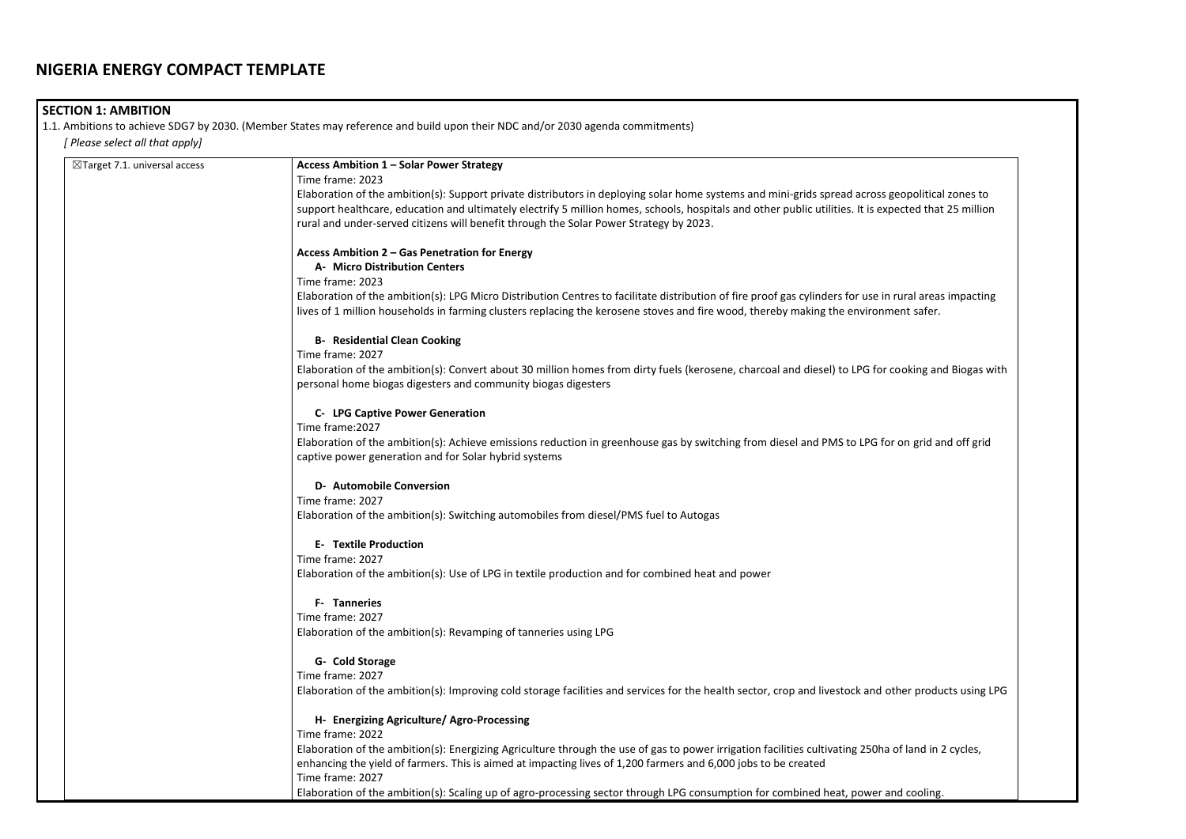# **SECTION 1: AMBITION**

1.1. Ambitions to achieve SDG7 by 2030. (Member States may reference and build upon their NDC and/or 2030 agenda commitments) *[ Please select all that apply]* 

| $\boxtimes$ Target 7.1. universal access | Access Ambition 1 - Solar Power Strategy                                                                                                                                                                                                                                                       |
|------------------------------------------|------------------------------------------------------------------------------------------------------------------------------------------------------------------------------------------------------------------------------------------------------------------------------------------------|
|                                          | Time frame: 2023                                                                                                                                                                                                                                                                               |
|                                          | Elaboration of the ambition(s): Support private distributors in deploying solar home systems and mini-grids spread across geopolitical zones to                                                                                                                                                |
|                                          | support healthcare, education and ultimately electrify 5 million homes, schools, hospitals and other public utilities. It is expected that 25 million                                                                                                                                          |
|                                          | rural and under-served citizens will benefit through the Solar Power Strategy by 2023.                                                                                                                                                                                                         |
|                                          | Access Ambition 2 - Gas Penetration for Energy                                                                                                                                                                                                                                                 |
|                                          | A- Micro Distribution Centers                                                                                                                                                                                                                                                                  |
|                                          | Time frame: 2023                                                                                                                                                                                                                                                                               |
|                                          | Elaboration of the ambition(s): LPG Micro Distribution Centres to facilitate distribution of fire proof gas cylinders for use in rural areas impacting<br>lives of 1 million households in farming clusters replacing the kerosene stoves and fire wood, thereby making the environment safer. |
|                                          | <b>B- Residential Clean Cooking</b>                                                                                                                                                                                                                                                            |
|                                          | Time frame: 2027                                                                                                                                                                                                                                                                               |
|                                          | Elaboration of the ambition(s): Convert about 30 million homes from dirty fuels (kerosene, charcoal and diesel) to LPG for cooking and Biogas with<br>personal home biogas digesters and community biogas digesters                                                                            |
|                                          | <b>C- LPG Captive Power Generation</b>                                                                                                                                                                                                                                                         |
|                                          | Time frame: 2027                                                                                                                                                                                                                                                                               |
|                                          | Elaboration of the ambition(s): Achieve emissions reduction in greenhouse gas by switching from diesel and PMS to LPG for on grid and off grid                                                                                                                                                 |
|                                          | captive power generation and for Solar hybrid systems                                                                                                                                                                                                                                          |
|                                          | <b>D- Automobile Conversion</b>                                                                                                                                                                                                                                                                |
|                                          | Time frame: 2027                                                                                                                                                                                                                                                                               |
|                                          | Elaboration of the ambition(s): Switching automobiles from diesel/PMS fuel to Autogas                                                                                                                                                                                                          |
|                                          | <b>E- Textile Production</b>                                                                                                                                                                                                                                                                   |
|                                          | Time frame: 2027                                                                                                                                                                                                                                                                               |
|                                          | Elaboration of the ambition(s): Use of LPG in textile production and for combined heat and power                                                                                                                                                                                               |
|                                          | <b>F- Tanneries</b>                                                                                                                                                                                                                                                                            |
|                                          | Time frame: 2027                                                                                                                                                                                                                                                                               |
|                                          | Elaboration of the ambition(s): Revamping of tanneries using LPG                                                                                                                                                                                                                               |
|                                          | G- Cold Storage                                                                                                                                                                                                                                                                                |
|                                          | Time frame: 2027                                                                                                                                                                                                                                                                               |
|                                          | Elaboration of the ambition(s): Improving cold storage facilities and services for the health sector, crop and livestock and other products using LPG                                                                                                                                          |
|                                          | H- Energizing Agriculture/ Agro-Processing                                                                                                                                                                                                                                                     |
|                                          | Time frame: 2022                                                                                                                                                                                                                                                                               |
|                                          | Elaboration of the ambition(s): Energizing Agriculture through the use of gas to power irrigation facilities cultivating 250ha of land in 2 cycles,                                                                                                                                            |
|                                          | enhancing the yield of farmers. This is aimed at impacting lives of 1,200 farmers and 6,000 jobs to be created                                                                                                                                                                                 |
|                                          | Time frame: 2027                                                                                                                                                                                                                                                                               |
|                                          | Elaboration of the ambition(s): Scaling up of agro-processing sector through LPG consumption for combined heat, power and cooling.                                                                                                                                                             |

| eopolitical zones to<br>ected that 25 million |  |
|-----------------------------------------------|--|
| ural areas impacting<br>ent safer.            |  |
| poking and Biogas with                        |  |
| on grid and off grid                          |  |
|                                               |  |
|                                               |  |
|                                               |  |
| her products using LPG                        |  |
| of land in 2 cycles,                          |  |
| d cooling.                                    |  |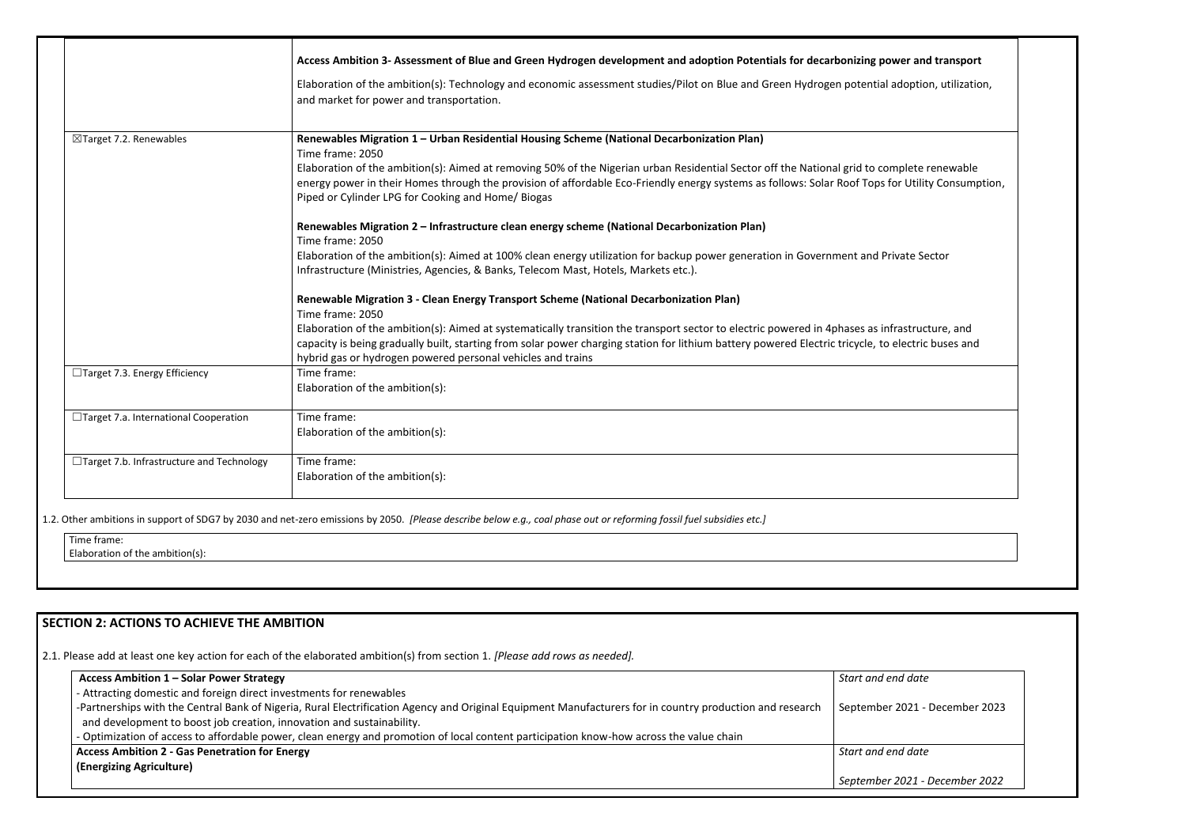|                                            | Access Ambition 3- Assessment of Blue and Green Hydrogen development and adoption Potentials for decarbonizing power and transport                                                                                                                                                                                                                                 |
|--------------------------------------------|--------------------------------------------------------------------------------------------------------------------------------------------------------------------------------------------------------------------------------------------------------------------------------------------------------------------------------------------------------------------|
|                                            | Elaboration of the ambition(s): Technology and economic assessment studies/Pilot on Blue and Green Hydrogen potential adoption, utilization,<br>and market for power and transportation.                                                                                                                                                                           |
| $\boxtimes$ Target 7.2. Renewables         | Renewables Migration 1 - Urban Residential Housing Scheme (National Decarbonization Plan)<br>Time frame: 2050                                                                                                                                                                                                                                                      |
|                                            | Elaboration of the ambition(s): Aimed at removing 50% of the Nigerian urban Residential Sector off the National grid to complete renewable<br>energy power in their Homes through the provision of affordable Eco-Friendly energy systems as follows: Solar Roof Tops for Utility Consumption,<br>Piped or Cylinder LPG for Cooking and Home/ Biogas               |
|                                            | Renewables Migration 2 - Infrastructure clean energy scheme (National Decarbonization Plan)<br>Time frame: 2050                                                                                                                                                                                                                                                    |
|                                            | Elaboration of the ambition(s): Aimed at 100% clean energy utilization for backup power generation in Government and Private Sector<br>Infrastructure (Ministries, Agencies, & Banks, Telecom Mast, Hotels, Markets etc.).                                                                                                                                         |
|                                            | Renewable Migration 3 - Clean Energy Transport Scheme (National Decarbonization Plan)<br>Time frame: 2050                                                                                                                                                                                                                                                          |
|                                            | Elaboration of the ambition(s): Aimed at systematically transition the transport sector to electric powered in 4phases as infrastructure, and<br>capacity is being gradually built, starting from solar power charging station for lithium battery powered Electric tricycle, to electric buses and<br>hybrid gas or hydrogen powered personal vehicles and trains |
| □Target 7.3. Energy Efficiency             | Time frame:<br>Elaboration of the ambition(s):                                                                                                                                                                                                                                                                                                                     |
| □Target 7.a. International Cooperation     | Time frame:<br>Elaboration of the ambition(s):                                                                                                                                                                                                                                                                                                                     |
| □Target 7.b. Infrastructure and Technology | Time frame:<br>Elaboration of the ambition(s):                                                                                                                                                                                                                                                                                                                     |
|                                            |                                                                                                                                                                                                                                                                                                                                                                    |

Time frame: Elaboration of the ambition(s):

1.2. Other ambitions in support of SDG7 by 2030 and net-zero emissions by 2050. *[Please describe below e.g., coal phase out or reforming fossil fuel subsidies etc.]*

# **SECTION 2: ACTIONS TO ACHIEVE THE AMBITION**

2.1. Please add at least one key action for each of the elaborated ambition(s) from section 1. *[Please add rows as needed].*

| Access Ambition 1 - Solar Power Strategy                                                                                                                                                                                          | Start and end date |
|-----------------------------------------------------------------------------------------------------------------------------------------------------------------------------------------------------------------------------------|--------------------|
| - Attracting domestic and foreign direct investments for renewables                                                                                                                                                               |                    |
| -Partnerships with the Central Bank of Nigeria, Rural Electrification Agency and Original Equipment Manufacturers for in country production and research<br>and development to boost job creation, innovation and sustainability. | September 2021 -   |
| - Optimization of access to affordable power, clean energy and promotion of local content participation know-how across the value chain                                                                                           |                    |
| <b>Access Ambition 2 - Gas Penetration for Energy</b>                                                                                                                                                                             | Start and end date |
| (Energizing Agriculture)                                                                                                                                                                                                          |                    |
|                                                                                                                                                                                                                                   | September 2021 -   |

| onizing power and transport<br>n potential adoption, utilization,  |  |
|--------------------------------------------------------------------|--|
| I grid to complete renewable<br>Roof Tops for Utility Consumption, |  |
| ent and Private Sector                                             |  |
| hases as infrastructure, and<br>tricycle, to electric buses and    |  |
|                                                                    |  |
|                                                                    |  |
|                                                                    |  |
|                                                                    |  |
|                                                                    |  |
|                                                                    |  |
|                                                                    |  |
| Start and end date                                                 |  |
| September 2021 - December 2023                                     |  |
| Start and end date                                                 |  |
| September 2021 - December 2022                                     |  |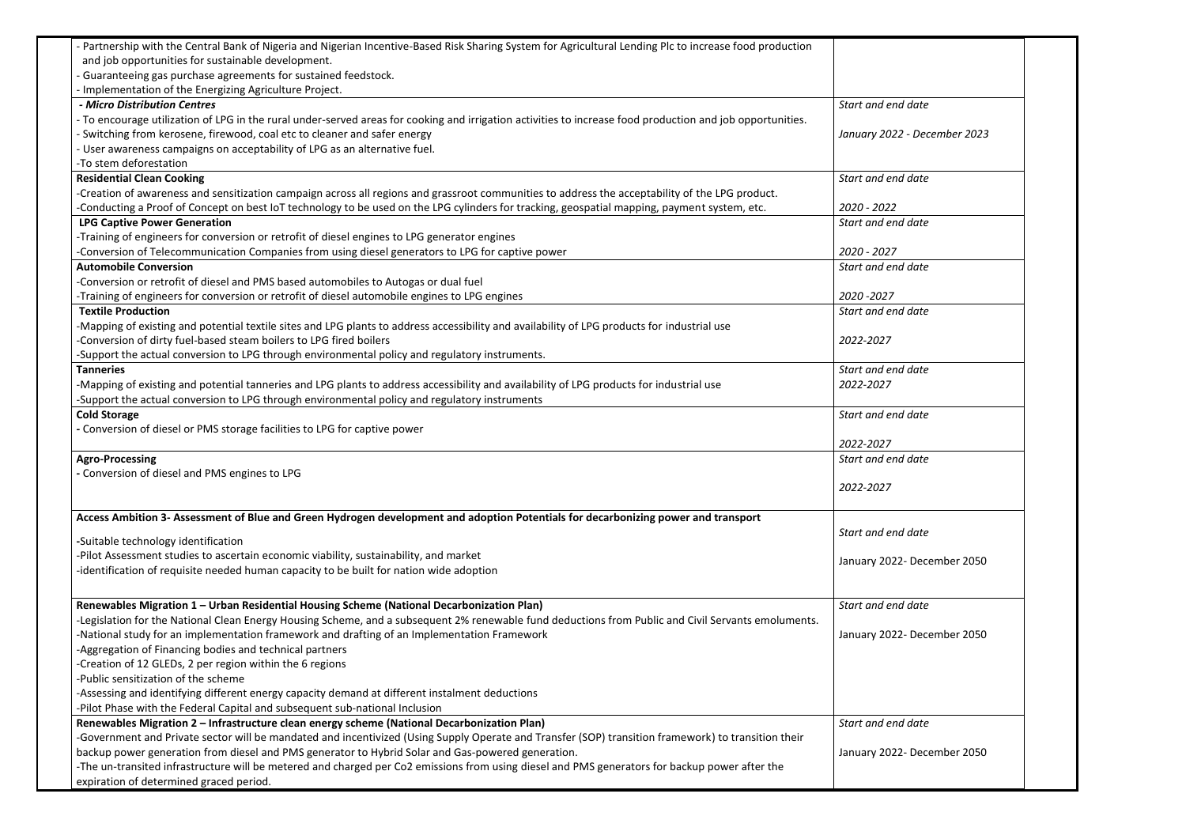| and job opportunities for sustainable development.<br>- Guaranteeing gas purchase agreements for sustained feedstock.<br>Implementation of the Energizing Agriculture Project.<br>Start and end date<br>- Micro Distribution Centres<br>- To encourage utilization of LPG in the rural under-served areas for cooking and irrigation activities to increase food production and job opportunities.<br>Switching from kerosene, firewood, coal etc to cleaner and safer energy<br>January 2022 - December 2023<br>User awareness campaigns on acceptability of LPG as an alternative fuel.<br>-To stem deforestation<br><b>Residential Clean Cooking</b><br>Start and end date<br>-Creation of awareness and sensitization campaign across all regions and grassroot communities to address the acceptability of the LPG product.<br>-Conducting a Proof of Concept on best IoT technology to be used on the LPG cylinders for tracking, geospatial mapping, payment system, etc.<br>2020 - 2022<br><b>LPG Captive Power Generation</b><br>Start and end date<br>-Training of engineers for conversion or retrofit of diesel engines to LPG generator engines<br>-Conversion of Telecommunication Companies from using diesel generators to LPG for captive power<br>2020 - 2027<br><b>Automobile Conversion</b><br>Start and end date<br>-Conversion or retrofit of diesel and PMS based automobiles to Autogas or dual fuel<br>-Training of engineers for conversion or retrofit of diesel automobile engines to LPG engines<br>2020 - 2027<br><b>Textile Production</b><br>Start and end date<br>-Mapping of existing and potential textile sites and LPG plants to address accessibility and availability of LPG products for industrial use<br>-Conversion of dirty fuel-based steam boilers to LPG fired boilers<br>2022-2027<br>-Support the actual conversion to LPG through environmental policy and regulatory instruments.<br>Start and end date<br><b>Tanneries</b><br>-Mapping of existing and potential tanneries and LPG plants to address accessibility and availability of LPG products for industrial use<br>2022-2027<br>-Support the actual conversion to LPG through environmental policy and regulatory instruments<br><b>Cold Storage</b><br>Start and end date<br>- Conversion of diesel or PMS storage facilities to LPG for captive power<br>2022-2027<br><b>Agro-Processing</b><br>Start and end date<br>- Conversion of diesel and PMS engines to LPG<br>2022-2027<br>Access Ambition 3- Assessment of Blue and Green Hydrogen development and adoption Potentials for decarbonizing power and transport<br>Start and end date<br>-Suitable technology identification<br>-Pilot Assessment studies to ascertain economic viability, sustainability, and market<br>January 2022- December 2050<br>-identification of requisite needed human capacity to be built for nation wide adoption<br>Renewables Migration 1 - Urban Residential Housing Scheme (National Decarbonization Plan)<br>Start and end date<br>-Legislation for the National Clean Energy Housing Scheme, and a subsequent 2% renewable fund deductions from Public and Civil Servants emoluments.<br>-National study for an implementation framework and drafting of an Implementation Framework<br>January 2022- December 2050<br>-Aggregation of Financing bodies and technical partners<br>-Creation of 12 GLEDs, 2 per region within the 6 regions<br>-Public sensitization of the scheme<br>-Assessing and identifying different energy capacity demand at different instalment deductions<br>-Pilot Phase with the Federal Capital and subsequent sub-national Inclusion<br>Renewables Migration 2 - Infrastructure clean energy scheme (National Decarbonization Plan)<br>Start and end date<br>-Government and Private sector will be mandated and incentivized (Using Supply Operate and Transfer (SOP) transition framework) to transition their<br>backup power generation from diesel and PMS generator to Hybrid Solar and Gas-powered generation.<br>January 2022- December 2050<br>-The un-transited infrastructure will be metered and charged per Co2 emissions from using diesel and PMS generators for backup power after the | Partnership with the Central Bank of Nigeria and Nigerian Incentive-Based Risk Sharing System for Agricultural Lending Plc to increase food production |  |
|----------------------------------------------------------------------------------------------------------------------------------------------------------------------------------------------------------------------------------------------------------------------------------------------------------------------------------------------------------------------------------------------------------------------------------------------------------------------------------------------------------------------------------------------------------------------------------------------------------------------------------------------------------------------------------------------------------------------------------------------------------------------------------------------------------------------------------------------------------------------------------------------------------------------------------------------------------------------------------------------------------------------------------------------------------------------------------------------------------------------------------------------------------------------------------------------------------------------------------------------------------------------------------------------------------------------------------------------------------------------------------------------------------------------------------------------------------------------------------------------------------------------------------------------------------------------------------------------------------------------------------------------------------------------------------------------------------------------------------------------------------------------------------------------------------------------------------------------------------------------------------------------------------------------------------------------------------------------------------------------------------------------------------------------------------------------------------------------------------------------------------------------------------------------------------------------------------------------------------------------------------------------------------------------------------------------------------------------------------------------------------------------------------------------------------------------------------------------------------------------------------------------------------------------------------------------------------------------------------------------------------------------------------------------------------------------------------------------------------------------------------------------------------------------------------------------------------------------------------------------------------------------------------------------------------------------------------------------------------------------------------------------------------------------------------------------------------------------------------------------------------------------------------------------------------------------------------------------------------------------------------------------------------------------------------------------------------------------------------------------------------------------------------------------------------------------------------------------------------------------------------------------------------------------------------------------------------------------------------------------------------------------------------------------------------------------------------------------------------------------------------------------------------------------------------------------------------------------------------------------------------------------------------------------------------------------------------------------------------------------------------------------------------------------------------------------------------------------------------------------------------------------------------------------------------------------------------------------------------------------|--------------------------------------------------------------------------------------------------------------------------------------------------------|--|
|                                                                                                                                                                                                                                                                                                                                                                                                                                                                                                                                                                                                                                                                                                                                                                                                                                                                                                                                                                                                                                                                                                                                                                                                                                                                                                                                                                                                                                                                                                                                                                                                                                                                                                                                                                                                                                                                                                                                                                                                                                                                                                                                                                                                                                                                                                                                                                                                                                                                                                                                                                                                                                                                                                                                                                                                                                                                                                                                                                                                                                                                                                                                                                                                                                                                                                                                                                                                                                                                                                                                                                                                                                                                                                                                                                                                                                                                                                                                                                                                                                                                                                                                                                                                                                              |                                                                                                                                                        |  |
|                                                                                                                                                                                                                                                                                                                                                                                                                                                                                                                                                                                                                                                                                                                                                                                                                                                                                                                                                                                                                                                                                                                                                                                                                                                                                                                                                                                                                                                                                                                                                                                                                                                                                                                                                                                                                                                                                                                                                                                                                                                                                                                                                                                                                                                                                                                                                                                                                                                                                                                                                                                                                                                                                                                                                                                                                                                                                                                                                                                                                                                                                                                                                                                                                                                                                                                                                                                                                                                                                                                                                                                                                                                                                                                                                                                                                                                                                                                                                                                                                                                                                                                                                                                                                                              |                                                                                                                                                        |  |
|                                                                                                                                                                                                                                                                                                                                                                                                                                                                                                                                                                                                                                                                                                                                                                                                                                                                                                                                                                                                                                                                                                                                                                                                                                                                                                                                                                                                                                                                                                                                                                                                                                                                                                                                                                                                                                                                                                                                                                                                                                                                                                                                                                                                                                                                                                                                                                                                                                                                                                                                                                                                                                                                                                                                                                                                                                                                                                                                                                                                                                                                                                                                                                                                                                                                                                                                                                                                                                                                                                                                                                                                                                                                                                                                                                                                                                                                                                                                                                                                                                                                                                                                                                                                                                              |                                                                                                                                                        |  |
|                                                                                                                                                                                                                                                                                                                                                                                                                                                                                                                                                                                                                                                                                                                                                                                                                                                                                                                                                                                                                                                                                                                                                                                                                                                                                                                                                                                                                                                                                                                                                                                                                                                                                                                                                                                                                                                                                                                                                                                                                                                                                                                                                                                                                                                                                                                                                                                                                                                                                                                                                                                                                                                                                                                                                                                                                                                                                                                                                                                                                                                                                                                                                                                                                                                                                                                                                                                                                                                                                                                                                                                                                                                                                                                                                                                                                                                                                                                                                                                                                                                                                                                                                                                                                                              |                                                                                                                                                        |  |
|                                                                                                                                                                                                                                                                                                                                                                                                                                                                                                                                                                                                                                                                                                                                                                                                                                                                                                                                                                                                                                                                                                                                                                                                                                                                                                                                                                                                                                                                                                                                                                                                                                                                                                                                                                                                                                                                                                                                                                                                                                                                                                                                                                                                                                                                                                                                                                                                                                                                                                                                                                                                                                                                                                                                                                                                                                                                                                                                                                                                                                                                                                                                                                                                                                                                                                                                                                                                                                                                                                                                                                                                                                                                                                                                                                                                                                                                                                                                                                                                                                                                                                                                                                                                                                              |                                                                                                                                                        |  |
|                                                                                                                                                                                                                                                                                                                                                                                                                                                                                                                                                                                                                                                                                                                                                                                                                                                                                                                                                                                                                                                                                                                                                                                                                                                                                                                                                                                                                                                                                                                                                                                                                                                                                                                                                                                                                                                                                                                                                                                                                                                                                                                                                                                                                                                                                                                                                                                                                                                                                                                                                                                                                                                                                                                                                                                                                                                                                                                                                                                                                                                                                                                                                                                                                                                                                                                                                                                                                                                                                                                                                                                                                                                                                                                                                                                                                                                                                                                                                                                                                                                                                                                                                                                                                                              |                                                                                                                                                        |  |
|                                                                                                                                                                                                                                                                                                                                                                                                                                                                                                                                                                                                                                                                                                                                                                                                                                                                                                                                                                                                                                                                                                                                                                                                                                                                                                                                                                                                                                                                                                                                                                                                                                                                                                                                                                                                                                                                                                                                                                                                                                                                                                                                                                                                                                                                                                                                                                                                                                                                                                                                                                                                                                                                                                                                                                                                                                                                                                                                                                                                                                                                                                                                                                                                                                                                                                                                                                                                                                                                                                                                                                                                                                                                                                                                                                                                                                                                                                                                                                                                                                                                                                                                                                                                                                              |                                                                                                                                                        |  |
|                                                                                                                                                                                                                                                                                                                                                                                                                                                                                                                                                                                                                                                                                                                                                                                                                                                                                                                                                                                                                                                                                                                                                                                                                                                                                                                                                                                                                                                                                                                                                                                                                                                                                                                                                                                                                                                                                                                                                                                                                                                                                                                                                                                                                                                                                                                                                                                                                                                                                                                                                                                                                                                                                                                                                                                                                                                                                                                                                                                                                                                                                                                                                                                                                                                                                                                                                                                                                                                                                                                                                                                                                                                                                                                                                                                                                                                                                                                                                                                                                                                                                                                                                                                                                                              |                                                                                                                                                        |  |
|                                                                                                                                                                                                                                                                                                                                                                                                                                                                                                                                                                                                                                                                                                                                                                                                                                                                                                                                                                                                                                                                                                                                                                                                                                                                                                                                                                                                                                                                                                                                                                                                                                                                                                                                                                                                                                                                                                                                                                                                                                                                                                                                                                                                                                                                                                                                                                                                                                                                                                                                                                                                                                                                                                                                                                                                                                                                                                                                                                                                                                                                                                                                                                                                                                                                                                                                                                                                                                                                                                                                                                                                                                                                                                                                                                                                                                                                                                                                                                                                                                                                                                                                                                                                                                              |                                                                                                                                                        |  |
|                                                                                                                                                                                                                                                                                                                                                                                                                                                                                                                                                                                                                                                                                                                                                                                                                                                                                                                                                                                                                                                                                                                                                                                                                                                                                                                                                                                                                                                                                                                                                                                                                                                                                                                                                                                                                                                                                                                                                                                                                                                                                                                                                                                                                                                                                                                                                                                                                                                                                                                                                                                                                                                                                                                                                                                                                                                                                                                                                                                                                                                                                                                                                                                                                                                                                                                                                                                                                                                                                                                                                                                                                                                                                                                                                                                                                                                                                                                                                                                                                                                                                                                                                                                                                                              |                                                                                                                                                        |  |
|                                                                                                                                                                                                                                                                                                                                                                                                                                                                                                                                                                                                                                                                                                                                                                                                                                                                                                                                                                                                                                                                                                                                                                                                                                                                                                                                                                                                                                                                                                                                                                                                                                                                                                                                                                                                                                                                                                                                                                                                                                                                                                                                                                                                                                                                                                                                                                                                                                                                                                                                                                                                                                                                                                                                                                                                                                                                                                                                                                                                                                                                                                                                                                                                                                                                                                                                                                                                                                                                                                                                                                                                                                                                                                                                                                                                                                                                                                                                                                                                                                                                                                                                                                                                                                              |                                                                                                                                                        |  |
|                                                                                                                                                                                                                                                                                                                                                                                                                                                                                                                                                                                                                                                                                                                                                                                                                                                                                                                                                                                                                                                                                                                                                                                                                                                                                                                                                                                                                                                                                                                                                                                                                                                                                                                                                                                                                                                                                                                                                                                                                                                                                                                                                                                                                                                                                                                                                                                                                                                                                                                                                                                                                                                                                                                                                                                                                                                                                                                                                                                                                                                                                                                                                                                                                                                                                                                                                                                                                                                                                                                                                                                                                                                                                                                                                                                                                                                                                                                                                                                                                                                                                                                                                                                                                                              |                                                                                                                                                        |  |
|                                                                                                                                                                                                                                                                                                                                                                                                                                                                                                                                                                                                                                                                                                                                                                                                                                                                                                                                                                                                                                                                                                                                                                                                                                                                                                                                                                                                                                                                                                                                                                                                                                                                                                                                                                                                                                                                                                                                                                                                                                                                                                                                                                                                                                                                                                                                                                                                                                                                                                                                                                                                                                                                                                                                                                                                                                                                                                                                                                                                                                                                                                                                                                                                                                                                                                                                                                                                                                                                                                                                                                                                                                                                                                                                                                                                                                                                                                                                                                                                                                                                                                                                                                                                                                              |                                                                                                                                                        |  |
|                                                                                                                                                                                                                                                                                                                                                                                                                                                                                                                                                                                                                                                                                                                                                                                                                                                                                                                                                                                                                                                                                                                                                                                                                                                                                                                                                                                                                                                                                                                                                                                                                                                                                                                                                                                                                                                                                                                                                                                                                                                                                                                                                                                                                                                                                                                                                                                                                                                                                                                                                                                                                                                                                                                                                                                                                                                                                                                                                                                                                                                                                                                                                                                                                                                                                                                                                                                                                                                                                                                                                                                                                                                                                                                                                                                                                                                                                                                                                                                                                                                                                                                                                                                                                                              |                                                                                                                                                        |  |
|                                                                                                                                                                                                                                                                                                                                                                                                                                                                                                                                                                                                                                                                                                                                                                                                                                                                                                                                                                                                                                                                                                                                                                                                                                                                                                                                                                                                                                                                                                                                                                                                                                                                                                                                                                                                                                                                                                                                                                                                                                                                                                                                                                                                                                                                                                                                                                                                                                                                                                                                                                                                                                                                                                                                                                                                                                                                                                                                                                                                                                                                                                                                                                                                                                                                                                                                                                                                                                                                                                                                                                                                                                                                                                                                                                                                                                                                                                                                                                                                                                                                                                                                                                                                                                              |                                                                                                                                                        |  |
|                                                                                                                                                                                                                                                                                                                                                                                                                                                                                                                                                                                                                                                                                                                                                                                                                                                                                                                                                                                                                                                                                                                                                                                                                                                                                                                                                                                                                                                                                                                                                                                                                                                                                                                                                                                                                                                                                                                                                                                                                                                                                                                                                                                                                                                                                                                                                                                                                                                                                                                                                                                                                                                                                                                                                                                                                                                                                                                                                                                                                                                                                                                                                                                                                                                                                                                                                                                                                                                                                                                                                                                                                                                                                                                                                                                                                                                                                                                                                                                                                                                                                                                                                                                                                                              |                                                                                                                                                        |  |
|                                                                                                                                                                                                                                                                                                                                                                                                                                                                                                                                                                                                                                                                                                                                                                                                                                                                                                                                                                                                                                                                                                                                                                                                                                                                                                                                                                                                                                                                                                                                                                                                                                                                                                                                                                                                                                                                                                                                                                                                                                                                                                                                                                                                                                                                                                                                                                                                                                                                                                                                                                                                                                                                                                                                                                                                                                                                                                                                                                                                                                                                                                                                                                                                                                                                                                                                                                                                                                                                                                                                                                                                                                                                                                                                                                                                                                                                                                                                                                                                                                                                                                                                                                                                                                              |                                                                                                                                                        |  |
|                                                                                                                                                                                                                                                                                                                                                                                                                                                                                                                                                                                                                                                                                                                                                                                                                                                                                                                                                                                                                                                                                                                                                                                                                                                                                                                                                                                                                                                                                                                                                                                                                                                                                                                                                                                                                                                                                                                                                                                                                                                                                                                                                                                                                                                                                                                                                                                                                                                                                                                                                                                                                                                                                                                                                                                                                                                                                                                                                                                                                                                                                                                                                                                                                                                                                                                                                                                                                                                                                                                                                                                                                                                                                                                                                                                                                                                                                                                                                                                                                                                                                                                                                                                                                                              |                                                                                                                                                        |  |
|                                                                                                                                                                                                                                                                                                                                                                                                                                                                                                                                                                                                                                                                                                                                                                                                                                                                                                                                                                                                                                                                                                                                                                                                                                                                                                                                                                                                                                                                                                                                                                                                                                                                                                                                                                                                                                                                                                                                                                                                                                                                                                                                                                                                                                                                                                                                                                                                                                                                                                                                                                                                                                                                                                                                                                                                                                                                                                                                                                                                                                                                                                                                                                                                                                                                                                                                                                                                                                                                                                                                                                                                                                                                                                                                                                                                                                                                                                                                                                                                                                                                                                                                                                                                                                              |                                                                                                                                                        |  |
|                                                                                                                                                                                                                                                                                                                                                                                                                                                                                                                                                                                                                                                                                                                                                                                                                                                                                                                                                                                                                                                                                                                                                                                                                                                                                                                                                                                                                                                                                                                                                                                                                                                                                                                                                                                                                                                                                                                                                                                                                                                                                                                                                                                                                                                                                                                                                                                                                                                                                                                                                                                                                                                                                                                                                                                                                                                                                                                                                                                                                                                                                                                                                                                                                                                                                                                                                                                                                                                                                                                                                                                                                                                                                                                                                                                                                                                                                                                                                                                                                                                                                                                                                                                                                                              |                                                                                                                                                        |  |
|                                                                                                                                                                                                                                                                                                                                                                                                                                                                                                                                                                                                                                                                                                                                                                                                                                                                                                                                                                                                                                                                                                                                                                                                                                                                                                                                                                                                                                                                                                                                                                                                                                                                                                                                                                                                                                                                                                                                                                                                                                                                                                                                                                                                                                                                                                                                                                                                                                                                                                                                                                                                                                                                                                                                                                                                                                                                                                                                                                                                                                                                                                                                                                                                                                                                                                                                                                                                                                                                                                                                                                                                                                                                                                                                                                                                                                                                                                                                                                                                                                                                                                                                                                                                                                              |                                                                                                                                                        |  |
|                                                                                                                                                                                                                                                                                                                                                                                                                                                                                                                                                                                                                                                                                                                                                                                                                                                                                                                                                                                                                                                                                                                                                                                                                                                                                                                                                                                                                                                                                                                                                                                                                                                                                                                                                                                                                                                                                                                                                                                                                                                                                                                                                                                                                                                                                                                                                                                                                                                                                                                                                                                                                                                                                                                                                                                                                                                                                                                                                                                                                                                                                                                                                                                                                                                                                                                                                                                                                                                                                                                                                                                                                                                                                                                                                                                                                                                                                                                                                                                                                                                                                                                                                                                                                                              |                                                                                                                                                        |  |
|                                                                                                                                                                                                                                                                                                                                                                                                                                                                                                                                                                                                                                                                                                                                                                                                                                                                                                                                                                                                                                                                                                                                                                                                                                                                                                                                                                                                                                                                                                                                                                                                                                                                                                                                                                                                                                                                                                                                                                                                                                                                                                                                                                                                                                                                                                                                                                                                                                                                                                                                                                                                                                                                                                                                                                                                                                                                                                                                                                                                                                                                                                                                                                                                                                                                                                                                                                                                                                                                                                                                                                                                                                                                                                                                                                                                                                                                                                                                                                                                                                                                                                                                                                                                                                              |                                                                                                                                                        |  |
|                                                                                                                                                                                                                                                                                                                                                                                                                                                                                                                                                                                                                                                                                                                                                                                                                                                                                                                                                                                                                                                                                                                                                                                                                                                                                                                                                                                                                                                                                                                                                                                                                                                                                                                                                                                                                                                                                                                                                                                                                                                                                                                                                                                                                                                                                                                                                                                                                                                                                                                                                                                                                                                                                                                                                                                                                                                                                                                                                                                                                                                                                                                                                                                                                                                                                                                                                                                                                                                                                                                                                                                                                                                                                                                                                                                                                                                                                                                                                                                                                                                                                                                                                                                                                                              |                                                                                                                                                        |  |
|                                                                                                                                                                                                                                                                                                                                                                                                                                                                                                                                                                                                                                                                                                                                                                                                                                                                                                                                                                                                                                                                                                                                                                                                                                                                                                                                                                                                                                                                                                                                                                                                                                                                                                                                                                                                                                                                                                                                                                                                                                                                                                                                                                                                                                                                                                                                                                                                                                                                                                                                                                                                                                                                                                                                                                                                                                                                                                                                                                                                                                                                                                                                                                                                                                                                                                                                                                                                                                                                                                                                                                                                                                                                                                                                                                                                                                                                                                                                                                                                                                                                                                                                                                                                                                              |                                                                                                                                                        |  |
|                                                                                                                                                                                                                                                                                                                                                                                                                                                                                                                                                                                                                                                                                                                                                                                                                                                                                                                                                                                                                                                                                                                                                                                                                                                                                                                                                                                                                                                                                                                                                                                                                                                                                                                                                                                                                                                                                                                                                                                                                                                                                                                                                                                                                                                                                                                                                                                                                                                                                                                                                                                                                                                                                                                                                                                                                                                                                                                                                                                                                                                                                                                                                                                                                                                                                                                                                                                                                                                                                                                                                                                                                                                                                                                                                                                                                                                                                                                                                                                                                                                                                                                                                                                                                                              |                                                                                                                                                        |  |
|                                                                                                                                                                                                                                                                                                                                                                                                                                                                                                                                                                                                                                                                                                                                                                                                                                                                                                                                                                                                                                                                                                                                                                                                                                                                                                                                                                                                                                                                                                                                                                                                                                                                                                                                                                                                                                                                                                                                                                                                                                                                                                                                                                                                                                                                                                                                                                                                                                                                                                                                                                                                                                                                                                                                                                                                                                                                                                                                                                                                                                                                                                                                                                                                                                                                                                                                                                                                                                                                                                                                                                                                                                                                                                                                                                                                                                                                                                                                                                                                                                                                                                                                                                                                                                              |                                                                                                                                                        |  |
|                                                                                                                                                                                                                                                                                                                                                                                                                                                                                                                                                                                                                                                                                                                                                                                                                                                                                                                                                                                                                                                                                                                                                                                                                                                                                                                                                                                                                                                                                                                                                                                                                                                                                                                                                                                                                                                                                                                                                                                                                                                                                                                                                                                                                                                                                                                                                                                                                                                                                                                                                                                                                                                                                                                                                                                                                                                                                                                                                                                                                                                                                                                                                                                                                                                                                                                                                                                                                                                                                                                                                                                                                                                                                                                                                                                                                                                                                                                                                                                                                                                                                                                                                                                                                                              |                                                                                                                                                        |  |
|                                                                                                                                                                                                                                                                                                                                                                                                                                                                                                                                                                                                                                                                                                                                                                                                                                                                                                                                                                                                                                                                                                                                                                                                                                                                                                                                                                                                                                                                                                                                                                                                                                                                                                                                                                                                                                                                                                                                                                                                                                                                                                                                                                                                                                                                                                                                                                                                                                                                                                                                                                                                                                                                                                                                                                                                                                                                                                                                                                                                                                                                                                                                                                                                                                                                                                                                                                                                                                                                                                                                                                                                                                                                                                                                                                                                                                                                                                                                                                                                                                                                                                                                                                                                                                              |                                                                                                                                                        |  |
|                                                                                                                                                                                                                                                                                                                                                                                                                                                                                                                                                                                                                                                                                                                                                                                                                                                                                                                                                                                                                                                                                                                                                                                                                                                                                                                                                                                                                                                                                                                                                                                                                                                                                                                                                                                                                                                                                                                                                                                                                                                                                                                                                                                                                                                                                                                                                                                                                                                                                                                                                                                                                                                                                                                                                                                                                                                                                                                                                                                                                                                                                                                                                                                                                                                                                                                                                                                                                                                                                                                                                                                                                                                                                                                                                                                                                                                                                                                                                                                                                                                                                                                                                                                                                                              |                                                                                                                                                        |  |
|                                                                                                                                                                                                                                                                                                                                                                                                                                                                                                                                                                                                                                                                                                                                                                                                                                                                                                                                                                                                                                                                                                                                                                                                                                                                                                                                                                                                                                                                                                                                                                                                                                                                                                                                                                                                                                                                                                                                                                                                                                                                                                                                                                                                                                                                                                                                                                                                                                                                                                                                                                                                                                                                                                                                                                                                                                                                                                                                                                                                                                                                                                                                                                                                                                                                                                                                                                                                                                                                                                                                                                                                                                                                                                                                                                                                                                                                                                                                                                                                                                                                                                                                                                                                                                              |                                                                                                                                                        |  |
|                                                                                                                                                                                                                                                                                                                                                                                                                                                                                                                                                                                                                                                                                                                                                                                                                                                                                                                                                                                                                                                                                                                                                                                                                                                                                                                                                                                                                                                                                                                                                                                                                                                                                                                                                                                                                                                                                                                                                                                                                                                                                                                                                                                                                                                                                                                                                                                                                                                                                                                                                                                                                                                                                                                                                                                                                                                                                                                                                                                                                                                                                                                                                                                                                                                                                                                                                                                                                                                                                                                                                                                                                                                                                                                                                                                                                                                                                                                                                                                                                                                                                                                                                                                                                                              |                                                                                                                                                        |  |
|                                                                                                                                                                                                                                                                                                                                                                                                                                                                                                                                                                                                                                                                                                                                                                                                                                                                                                                                                                                                                                                                                                                                                                                                                                                                                                                                                                                                                                                                                                                                                                                                                                                                                                                                                                                                                                                                                                                                                                                                                                                                                                                                                                                                                                                                                                                                                                                                                                                                                                                                                                                                                                                                                                                                                                                                                                                                                                                                                                                                                                                                                                                                                                                                                                                                                                                                                                                                                                                                                                                                                                                                                                                                                                                                                                                                                                                                                                                                                                                                                                                                                                                                                                                                                                              |                                                                                                                                                        |  |
|                                                                                                                                                                                                                                                                                                                                                                                                                                                                                                                                                                                                                                                                                                                                                                                                                                                                                                                                                                                                                                                                                                                                                                                                                                                                                                                                                                                                                                                                                                                                                                                                                                                                                                                                                                                                                                                                                                                                                                                                                                                                                                                                                                                                                                                                                                                                                                                                                                                                                                                                                                                                                                                                                                                                                                                                                                                                                                                                                                                                                                                                                                                                                                                                                                                                                                                                                                                                                                                                                                                                                                                                                                                                                                                                                                                                                                                                                                                                                                                                                                                                                                                                                                                                                                              |                                                                                                                                                        |  |
|                                                                                                                                                                                                                                                                                                                                                                                                                                                                                                                                                                                                                                                                                                                                                                                                                                                                                                                                                                                                                                                                                                                                                                                                                                                                                                                                                                                                                                                                                                                                                                                                                                                                                                                                                                                                                                                                                                                                                                                                                                                                                                                                                                                                                                                                                                                                                                                                                                                                                                                                                                                                                                                                                                                                                                                                                                                                                                                                                                                                                                                                                                                                                                                                                                                                                                                                                                                                                                                                                                                                                                                                                                                                                                                                                                                                                                                                                                                                                                                                                                                                                                                                                                                                                                              |                                                                                                                                                        |  |
|                                                                                                                                                                                                                                                                                                                                                                                                                                                                                                                                                                                                                                                                                                                                                                                                                                                                                                                                                                                                                                                                                                                                                                                                                                                                                                                                                                                                                                                                                                                                                                                                                                                                                                                                                                                                                                                                                                                                                                                                                                                                                                                                                                                                                                                                                                                                                                                                                                                                                                                                                                                                                                                                                                                                                                                                                                                                                                                                                                                                                                                                                                                                                                                                                                                                                                                                                                                                                                                                                                                                                                                                                                                                                                                                                                                                                                                                                                                                                                                                                                                                                                                                                                                                                                              |                                                                                                                                                        |  |
|                                                                                                                                                                                                                                                                                                                                                                                                                                                                                                                                                                                                                                                                                                                                                                                                                                                                                                                                                                                                                                                                                                                                                                                                                                                                                                                                                                                                                                                                                                                                                                                                                                                                                                                                                                                                                                                                                                                                                                                                                                                                                                                                                                                                                                                                                                                                                                                                                                                                                                                                                                                                                                                                                                                                                                                                                                                                                                                                                                                                                                                                                                                                                                                                                                                                                                                                                                                                                                                                                                                                                                                                                                                                                                                                                                                                                                                                                                                                                                                                                                                                                                                                                                                                                                              |                                                                                                                                                        |  |
|                                                                                                                                                                                                                                                                                                                                                                                                                                                                                                                                                                                                                                                                                                                                                                                                                                                                                                                                                                                                                                                                                                                                                                                                                                                                                                                                                                                                                                                                                                                                                                                                                                                                                                                                                                                                                                                                                                                                                                                                                                                                                                                                                                                                                                                                                                                                                                                                                                                                                                                                                                                                                                                                                                                                                                                                                                                                                                                                                                                                                                                                                                                                                                                                                                                                                                                                                                                                                                                                                                                                                                                                                                                                                                                                                                                                                                                                                                                                                                                                                                                                                                                                                                                                                                              |                                                                                                                                                        |  |
|                                                                                                                                                                                                                                                                                                                                                                                                                                                                                                                                                                                                                                                                                                                                                                                                                                                                                                                                                                                                                                                                                                                                                                                                                                                                                                                                                                                                                                                                                                                                                                                                                                                                                                                                                                                                                                                                                                                                                                                                                                                                                                                                                                                                                                                                                                                                                                                                                                                                                                                                                                                                                                                                                                                                                                                                                                                                                                                                                                                                                                                                                                                                                                                                                                                                                                                                                                                                                                                                                                                                                                                                                                                                                                                                                                                                                                                                                                                                                                                                                                                                                                                                                                                                                                              |                                                                                                                                                        |  |
|                                                                                                                                                                                                                                                                                                                                                                                                                                                                                                                                                                                                                                                                                                                                                                                                                                                                                                                                                                                                                                                                                                                                                                                                                                                                                                                                                                                                                                                                                                                                                                                                                                                                                                                                                                                                                                                                                                                                                                                                                                                                                                                                                                                                                                                                                                                                                                                                                                                                                                                                                                                                                                                                                                                                                                                                                                                                                                                                                                                                                                                                                                                                                                                                                                                                                                                                                                                                                                                                                                                                                                                                                                                                                                                                                                                                                                                                                                                                                                                                                                                                                                                                                                                                                                              |                                                                                                                                                        |  |
|                                                                                                                                                                                                                                                                                                                                                                                                                                                                                                                                                                                                                                                                                                                                                                                                                                                                                                                                                                                                                                                                                                                                                                                                                                                                                                                                                                                                                                                                                                                                                                                                                                                                                                                                                                                                                                                                                                                                                                                                                                                                                                                                                                                                                                                                                                                                                                                                                                                                                                                                                                                                                                                                                                                                                                                                                                                                                                                                                                                                                                                                                                                                                                                                                                                                                                                                                                                                                                                                                                                                                                                                                                                                                                                                                                                                                                                                                                                                                                                                                                                                                                                                                                                                                                              |                                                                                                                                                        |  |
|                                                                                                                                                                                                                                                                                                                                                                                                                                                                                                                                                                                                                                                                                                                                                                                                                                                                                                                                                                                                                                                                                                                                                                                                                                                                                                                                                                                                                                                                                                                                                                                                                                                                                                                                                                                                                                                                                                                                                                                                                                                                                                                                                                                                                                                                                                                                                                                                                                                                                                                                                                                                                                                                                                                                                                                                                                                                                                                                                                                                                                                                                                                                                                                                                                                                                                                                                                                                                                                                                                                                                                                                                                                                                                                                                                                                                                                                                                                                                                                                                                                                                                                                                                                                                                              |                                                                                                                                                        |  |
|                                                                                                                                                                                                                                                                                                                                                                                                                                                                                                                                                                                                                                                                                                                                                                                                                                                                                                                                                                                                                                                                                                                                                                                                                                                                                                                                                                                                                                                                                                                                                                                                                                                                                                                                                                                                                                                                                                                                                                                                                                                                                                                                                                                                                                                                                                                                                                                                                                                                                                                                                                                                                                                                                                                                                                                                                                                                                                                                                                                                                                                                                                                                                                                                                                                                                                                                                                                                                                                                                                                                                                                                                                                                                                                                                                                                                                                                                                                                                                                                                                                                                                                                                                                                                                              |                                                                                                                                                        |  |
|                                                                                                                                                                                                                                                                                                                                                                                                                                                                                                                                                                                                                                                                                                                                                                                                                                                                                                                                                                                                                                                                                                                                                                                                                                                                                                                                                                                                                                                                                                                                                                                                                                                                                                                                                                                                                                                                                                                                                                                                                                                                                                                                                                                                                                                                                                                                                                                                                                                                                                                                                                                                                                                                                                                                                                                                                                                                                                                                                                                                                                                                                                                                                                                                                                                                                                                                                                                                                                                                                                                                                                                                                                                                                                                                                                                                                                                                                                                                                                                                                                                                                                                                                                                                                                              |                                                                                                                                                        |  |
|                                                                                                                                                                                                                                                                                                                                                                                                                                                                                                                                                                                                                                                                                                                                                                                                                                                                                                                                                                                                                                                                                                                                                                                                                                                                                                                                                                                                                                                                                                                                                                                                                                                                                                                                                                                                                                                                                                                                                                                                                                                                                                                                                                                                                                                                                                                                                                                                                                                                                                                                                                                                                                                                                                                                                                                                                                                                                                                                                                                                                                                                                                                                                                                                                                                                                                                                                                                                                                                                                                                                                                                                                                                                                                                                                                                                                                                                                                                                                                                                                                                                                                                                                                                                                                              |                                                                                                                                                        |  |
|                                                                                                                                                                                                                                                                                                                                                                                                                                                                                                                                                                                                                                                                                                                                                                                                                                                                                                                                                                                                                                                                                                                                                                                                                                                                                                                                                                                                                                                                                                                                                                                                                                                                                                                                                                                                                                                                                                                                                                                                                                                                                                                                                                                                                                                                                                                                                                                                                                                                                                                                                                                                                                                                                                                                                                                                                                                                                                                                                                                                                                                                                                                                                                                                                                                                                                                                                                                                                                                                                                                                                                                                                                                                                                                                                                                                                                                                                                                                                                                                                                                                                                                                                                                                                                              |                                                                                                                                                        |  |
|                                                                                                                                                                                                                                                                                                                                                                                                                                                                                                                                                                                                                                                                                                                                                                                                                                                                                                                                                                                                                                                                                                                                                                                                                                                                                                                                                                                                                                                                                                                                                                                                                                                                                                                                                                                                                                                                                                                                                                                                                                                                                                                                                                                                                                                                                                                                                                                                                                                                                                                                                                                                                                                                                                                                                                                                                                                                                                                                                                                                                                                                                                                                                                                                                                                                                                                                                                                                                                                                                                                                                                                                                                                                                                                                                                                                                                                                                                                                                                                                                                                                                                                                                                                                                                              |                                                                                                                                                        |  |
|                                                                                                                                                                                                                                                                                                                                                                                                                                                                                                                                                                                                                                                                                                                                                                                                                                                                                                                                                                                                                                                                                                                                                                                                                                                                                                                                                                                                                                                                                                                                                                                                                                                                                                                                                                                                                                                                                                                                                                                                                                                                                                                                                                                                                                                                                                                                                                                                                                                                                                                                                                                                                                                                                                                                                                                                                                                                                                                                                                                                                                                                                                                                                                                                                                                                                                                                                                                                                                                                                                                                                                                                                                                                                                                                                                                                                                                                                                                                                                                                                                                                                                                                                                                                                                              |                                                                                                                                                        |  |
|                                                                                                                                                                                                                                                                                                                                                                                                                                                                                                                                                                                                                                                                                                                                                                                                                                                                                                                                                                                                                                                                                                                                                                                                                                                                                                                                                                                                                                                                                                                                                                                                                                                                                                                                                                                                                                                                                                                                                                                                                                                                                                                                                                                                                                                                                                                                                                                                                                                                                                                                                                                                                                                                                                                                                                                                                                                                                                                                                                                                                                                                                                                                                                                                                                                                                                                                                                                                                                                                                                                                                                                                                                                                                                                                                                                                                                                                                                                                                                                                                                                                                                                                                                                                                                              |                                                                                                                                                        |  |
|                                                                                                                                                                                                                                                                                                                                                                                                                                                                                                                                                                                                                                                                                                                                                                                                                                                                                                                                                                                                                                                                                                                                                                                                                                                                                                                                                                                                                                                                                                                                                                                                                                                                                                                                                                                                                                                                                                                                                                                                                                                                                                                                                                                                                                                                                                                                                                                                                                                                                                                                                                                                                                                                                                                                                                                                                                                                                                                                                                                                                                                                                                                                                                                                                                                                                                                                                                                                                                                                                                                                                                                                                                                                                                                                                                                                                                                                                                                                                                                                                                                                                                                                                                                                                                              | expiration of determined graced period.                                                                                                                |  |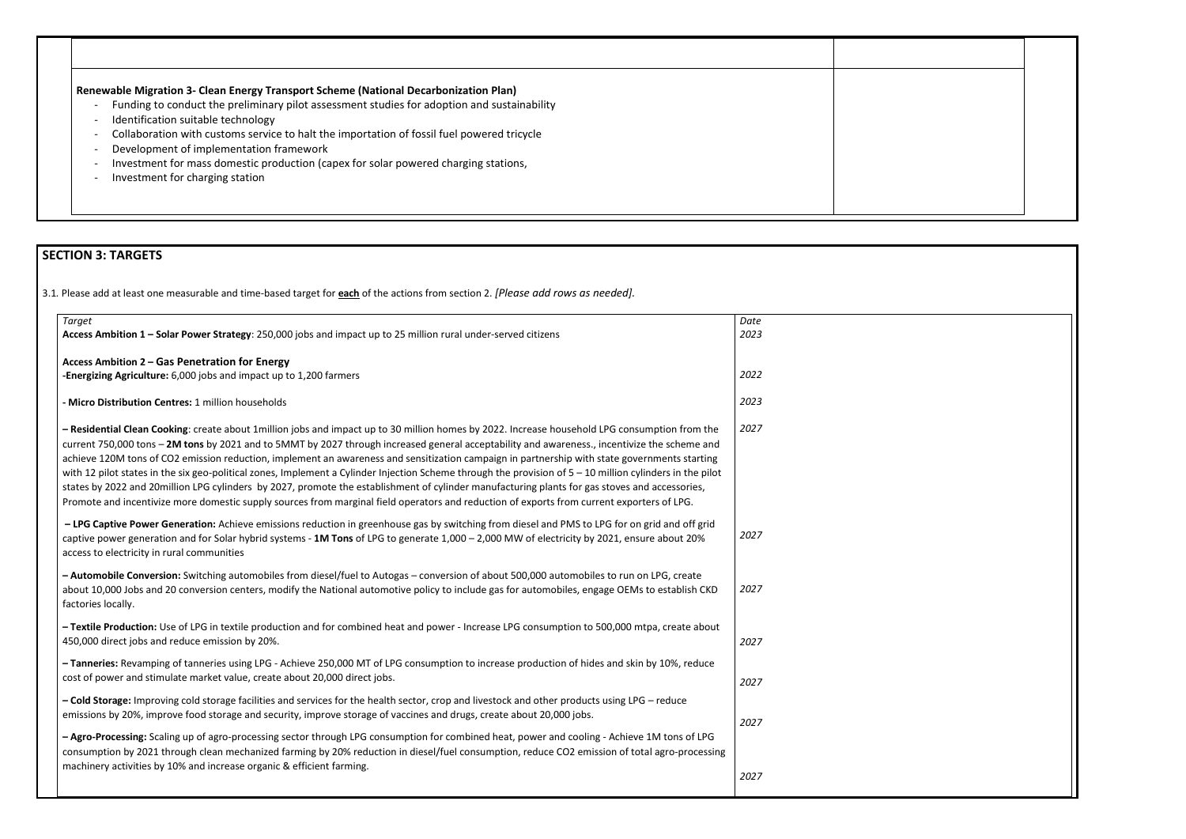### **Renewable Migration 3- Clean Energy Transport Scheme (National Decarbonization Plan)**

- Funding to conduct the preliminary pilot assessment studies for adoption and sustainability
- Identification suitable technology
- Collaboration with customs service to halt the importation of fossil fuel powered tricycle
- Development of implementation framework
- Investment for mass domestic production (capex for solar powered charging stations,
- Investment for charging station

## **SECTION 3: TARGETS**

3.1*.* Please add at least one measurable and time-based target for **each** of the actions from section 2. *[Please add rows as needed].*

| <b>Target</b>                                                                                                                                                                                                                                                                                                                                                                                                                                                                                                                                                                                                                                                                                                                                                                                                                                                                                                  | Date |
|----------------------------------------------------------------------------------------------------------------------------------------------------------------------------------------------------------------------------------------------------------------------------------------------------------------------------------------------------------------------------------------------------------------------------------------------------------------------------------------------------------------------------------------------------------------------------------------------------------------------------------------------------------------------------------------------------------------------------------------------------------------------------------------------------------------------------------------------------------------------------------------------------------------|------|
| Access Ambition 1 - Solar Power Strategy: 250,000 jobs and impact up to 25 million rural under-served citizens                                                                                                                                                                                                                                                                                                                                                                                                                                                                                                                                                                                                                                                                                                                                                                                                 | 2023 |
| Access Ambition 2 - Gas Penetration for Energy                                                                                                                                                                                                                                                                                                                                                                                                                                                                                                                                                                                                                                                                                                                                                                                                                                                                 |      |
| -Energizing Agriculture: 6,000 jobs and impact up to 1,200 farmers                                                                                                                                                                                                                                                                                                                                                                                                                                                                                                                                                                                                                                                                                                                                                                                                                                             | 2022 |
| - Micro Distribution Centres: 1 million households                                                                                                                                                                                                                                                                                                                                                                                                                                                                                                                                                                                                                                                                                                                                                                                                                                                             | 2023 |
| - Residential Clean Cooking: create about 1 million jobs and impact up to 30 million homes by 2022. Increase household LPG consumption from the<br>current 750,000 tons - 2M tons by 2021 and to 5MMT by 2027 through increased general acceptability and awareness., incentivize the scheme and<br>achieve 120M tons of CO2 emission reduction, implement an awareness and sensitization campaign in partnership with state governments starting<br>with 12 pilot states in the six geo-political zones, Implement a Cylinder Injection Scheme through the provision of 5 - 10 million cylinders in the pilot<br>states by 2022 and 20million LPG cylinders by 2027, promote the establishment of cylinder manufacturing plants for gas stoves and accessories,<br>Promote and incentivize more domestic supply sources from marginal field operators and reduction of exports from current exporters of LPG. | 2027 |
| - LPG Captive Power Generation: Achieve emissions reduction in greenhouse gas by switching from diesel and PMS to LPG for on grid and off grid<br>captive power generation and for Solar hybrid systems - 1M Tons of LPG to generate 1,000 - 2,000 MW of electricity by 2021, ensure about 20%<br>access to electricity in rural communities                                                                                                                                                                                                                                                                                                                                                                                                                                                                                                                                                                   | 2027 |
| - Automobile Conversion: Switching automobiles from diesel/fuel to Autogas - conversion of about 500,000 automobiles to run on LPG, create<br>about 10,000 Jobs and 20 conversion centers, modify the National automotive policy to include gas for automobiles, engage OEMs to establish CKD<br>factories locally.                                                                                                                                                                                                                                                                                                                                                                                                                                                                                                                                                                                            | 2027 |
| - Textile Production: Use of LPG in textile production and for combined heat and power - Increase LPG consumption to 500,000 mtpa, create about<br>450,000 direct jobs and reduce emission by 20%.                                                                                                                                                                                                                                                                                                                                                                                                                                                                                                                                                                                                                                                                                                             | 2027 |
| - Tanneries: Revamping of tanneries using LPG - Achieve 250,000 MT of LPG consumption to increase production of hides and skin by 10%, reduce<br>cost of power and stimulate market value, create about 20,000 direct jobs.                                                                                                                                                                                                                                                                                                                                                                                                                                                                                                                                                                                                                                                                                    | 2027 |
| - Cold Storage: Improving cold storage facilities and services for the health sector, crop and livestock and other products using LPG - reduce<br>emissions by 20%, improve food storage and security, improve storage of vaccines and drugs, create about 20,000 jobs.                                                                                                                                                                                                                                                                                                                                                                                                                                                                                                                                                                                                                                        | 2027 |
| - Agro-Processing: Scaling up of agro-processing sector through LPG consumption for combined heat, power and cooling - Achieve 1M tons of LPG<br>consumption by 2021 through clean mechanized farming by 20% reduction in diesel/fuel consumption, reduce CO2 emission of total agro-processing<br>machinery activities by 10% and increase organic & efficient farming.                                                                                                                                                                                                                                                                                                                                                                                                                                                                                                                                       |      |
|                                                                                                                                                                                                                                                                                                                                                                                                                                                                                                                                                                                                                                                                                                                                                                                                                                                                                                                | 2027 |

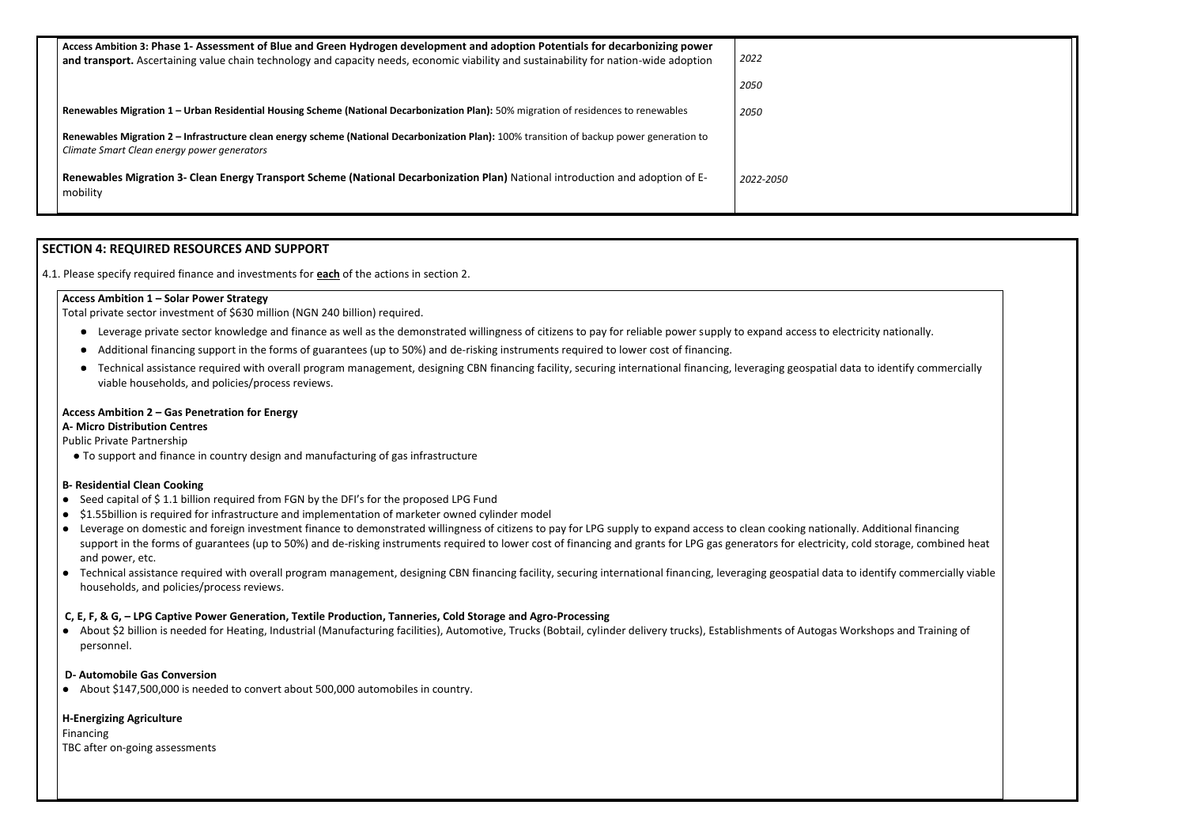| Access Ambition 3: Phase 1- Assessment of Blue and Green Hydrogen development and adoption Potentials for decarbonizing power<br>and transport. Ascertaining value chain technology and capacity needs, economic viability and sustainability for nation-wide adoption | 2022      |
|------------------------------------------------------------------------------------------------------------------------------------------------------------------------------------------------------------------------------------------------------------------------|-----------|
|                                                                                                                                                                                                                                                                        | 2050      |
| Renewables Migration 1 - Urban Residential Housing Scheme (National Decarbonization Plan): 50% migration of residences to renewables                                                                                                                                   | 2050      |
| Renewables Migration 2 - Infrastructure clean energy scheme (National Decarbonization Plan): 100% transition of backup power generation to<br>Climate Smart Clean energy power generators                                                                              |           |
| Renewables Migration 3- Clean Energy Transport Scheme (National Decarbonization Plan) National introduction and adoption of E-<br>mobility                                                                                                                             | 2022-2050 |

### **SECTION 4: REQUIRED RESOURCES AND SUPPORT**

- Leverage private sector knowledge and finance as well as the demonstrated willingness of citizens to pay for reliable power supply to expand access to electricity nationally.
- Additional financing support in the forms of guarantees (up to 50%) and de-risking instruments required to lower cost of financing.
- Technical assistance required with overall program management, designing CBN financing facility, securing international financing, leveraging geospatial data to identify commercially viable households, and policies/process reviews.

4.1. Please specify required finance and investments for **each** of the actions in section 2.

### **Access Ambition 1 – Solar Power Strategy**

Total private sector investment of \$630 million (NGN 240 billion) required.

- Seed capital of \$1.1 billion required from FGN by the DFI's for the proposed LPG Fund
- \$1.55billion is required for infrastructure and implementation of marketer owned cylinder model
- Leverage on domestic and foreign investment finance to demonstrated willingness of citizens to pay for LPG supply to expand access to clean cooking nationally. Additional financing support in the forms of guarantees (up to 50%) and de-risking instruments required to lower cost of financing and grants for LPG gas generators for electricity, cold storage, combined heat and power, etc.
- Technical assistance required with overall program management, designing CBN financing facility, securing international financing, leveraging geospatial data to identify commercially viable households, and policies/process reviews.

### **Access Ambition 2 – Gas Penetration for Energy**

### **A- Micro Distribution Centres**

Public Private Partnership

⚫ To support and finance in country design and manufacturing of gas infrastructure

### **B- Residential Clean Cooking**

### **C, E, F, & G, – LPG Captive Power Generation, Textile Production, Tanneries, Cold Storage and Agro-Processing**

⚫ About \$2 billion is needed for Heating, Industrial (Manufacturing facilities), Automotive, Trucks (Bobtail, cylinder delivery trucks), Establishments of Autogas Workshops and Training of personnel.

### **D- Automobile Gas Conversion**

● About \$147,500,000 is needed to convert about 500,000 automobiles in country.

### **H-Energizing Agriculture**

Financing TBC after on-going assessments

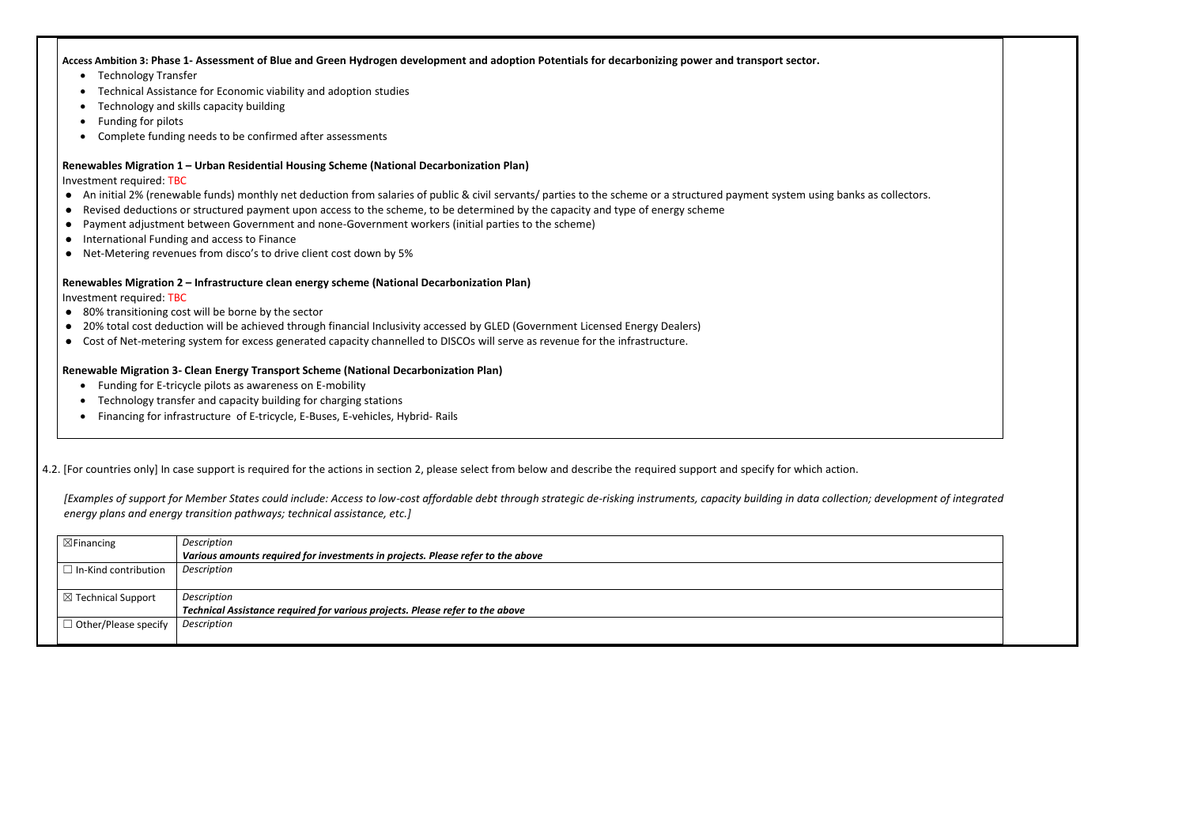### **Access Ambition 3: Phase 1- Assessment of Blue and Green Hydrogen development and adoption Potentials for decarbonizing power and transport sector.**

- Technology Transfer
- Technical Assistance for Economic viability and adoption studies
- Technology and skills capacity building
- Funding for pilots
- Complete funding needs to be confirmed after assessments

### **Renewables Migration 1 – Urban Residential Housing Scheme (National Decarbonization Plan)**

Investment required: TBC

- An initial 2% (renewable funds) monthly net deduction from salaries of public & civil servants/ parties to the scheme or a structured payment system using banks as collectors.
- ⚫ Revised deductions or structured payment upon access to the scheme, to be determined by the capacity and type of energy scheme
- ⚫ Payment adjustment between Government and none-Government workers (initial parties to the scheme)
- International Funding and access to Finance
- Net-Metering revenues from disco's to drive client cost down by 5%

- 80% transitioning cost will be borne by the sector
- 20% total cost deduction will be achieved through financial Inclusivity accessed by GLED (Government Licensed Energy Dealers)
- ⚫ Cost of Net-metering system for excess generated capacity channelled to DISCOs will serve as revenue for the infrastructure.

### **Renewables Migration 2 – Infrastructure clean energy scheme (National Decarbonization Plan)**

Investment required: TBC

### **Renewable Migration 3- Clean Energy Transport Scheme (National Decarbonization Plan)**

- Funding for E-tricycle pilots as awareness on E-mobility
- Technology transfer and capacity building for charging stations
- Financing for infrastructure of E-tricycle, E-Buses, E-vehicles, Hybrid- Rails

### 4.2. [For countries only] In case support is required for the actions in section 2, please select from below and describe the required support and specify for which action.

*[Examples of support for Member States could include: Access to low-cost affordable debt through strategic de-risking instruments, capacity building in data collection; development of integrated energy plans and energy transition pathways; technical assistance, etc.]*

| $\boxtimes$ Financing         | Description                                                                     |
|-------------------------------|---------------------------------------------------------------------------------|
|                               | Various amounts required for investments in projects. Please refer to the above |
| $\Box$ In-Kind contribution   | Description                                                                     |
|                               |                                                                                 |
| $\boxtimes$ Technical Support | Description                                                                     |
|                               | Technical Assistance required for various projects. Please refer to the above   |
| $\Box$ Other/Please specify   | Description                                                                     |
|                               |                                                                                 |

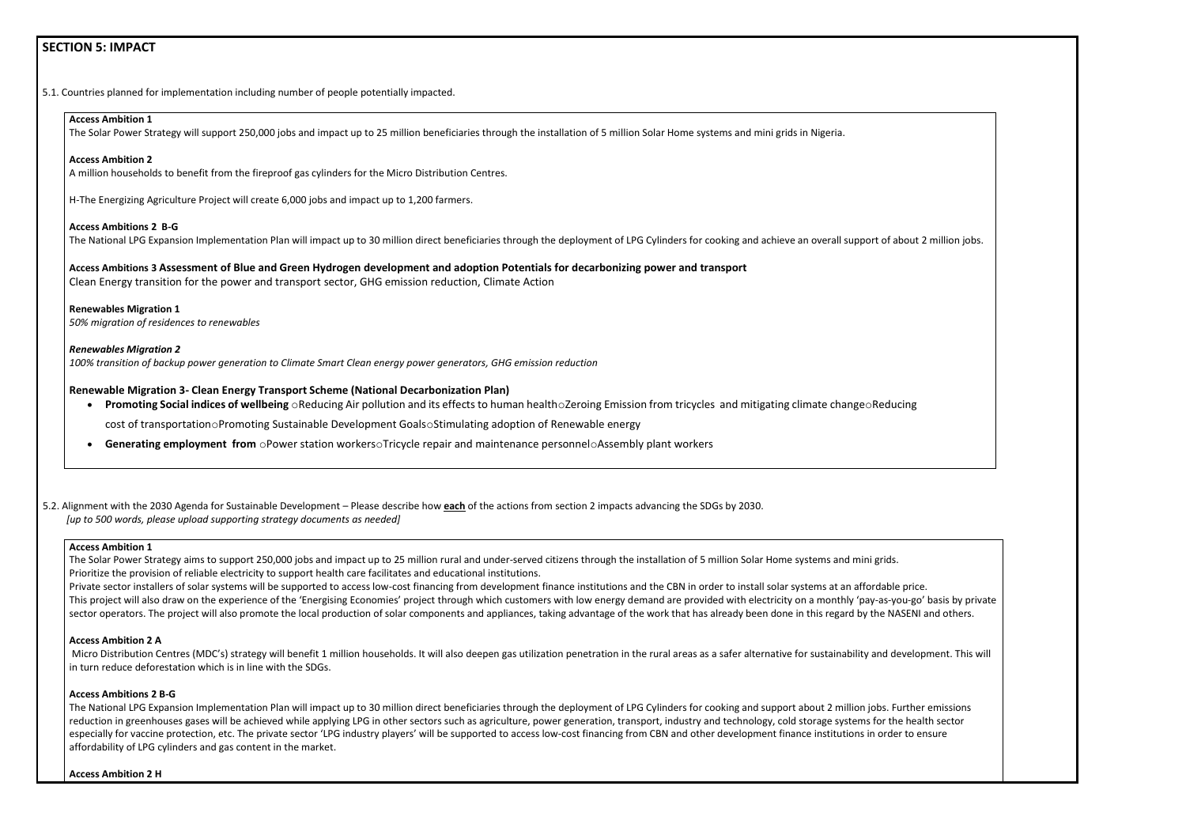### **SECTION 5: IMPACT**

5.1. Countries planned for implementation including number of people potentially impacted.

### **Access Ambition 1**

The Solar Power Strategy will support 250,000 jobs and impact up to 25 million beneficiaries through the installation of 5 million Solar Home systems and mini grids in Nigeria.

#### **Access Ambition 2**

A million households to benefit from the fireproof gas cylinders for the Micro Distribution Centres.

H-The Energizing Agriculture Project will create 6,000 jobs and impact up to 1,200 farmers.

### **Access Ambitions 2 B-G**

The National LPG Expansion Implementation Plan will impact up to 30 million direct beneficiaries through the deployment of LPG Cylinders for cooking and achieve an overall support of about 2 million jobs.

- **Promoting Social indices of wellbeing**  $\circ$ Reducing Air pollution and its effects to human health $\circ$ Zeroing Emission from tricycles and mitigating climate change $\circ$ Reducing cost of transportationoPromoting Sustainable Development GoalsoStimulating adoption of Renewable energy
- **Generating employment from** oPower station workersoTricycle repair and maintenance personneloAssembly plant workers

**Access Ambitions 3 Assessment of Blue and Green Hydrogen development and adoption Potentials for decarbonizing power and transport** Clean Energy transition for the power and transport sector, GHG emission reduction, Climate Action

**Renewables Migration 1** *50% migration of residences to renewables*

#### *Renewables Migration 2*

The Solar Power Strategy aims to support 250,000 jobs and impact up to 25 million rural and under-served citizens through the installation of 5 million Solar Home systems and mini grids. Prioritize the provision of reliable electricity to support health care facilitates and educational institutions.

Private sector installers of solar systems will be supported to access low-cost financing from development finance institutions and the CBN in order to install solar systems at an affordable price. This project will also draw on the experience of the 'Energising Economies' project through which customers with low energy demand are provided with electricity on a monthly 'pay-as-you-go' basis by private sector operators. The project will also promote the local production of solar components and appliances, taking advantage of the work that has already been done in this regard by the NASENI and others.

*100% transition of backup power generation to Climate Smart Clean energy power generators, GHG emission reduction*

### **Renewable Migration 3- Clean Energy Transport Scheme (National Decarbonization Plan)**

Micro Distribution Centres (MDC's) strategy will benefit 1 million households. It will also deepen gas utilization penetration in the rural areas as a safer alternative for sustainability and development. This will in turn reduce deforestation which is in line with the SDGs.

5.2. Alignment with the 2030 Agenda for Sustainable Development – Please describe how **each** of the actions from section 2 impacts advancing the SDGs by 2030. *[up to 500 words, please upload supporting strategy documents as needed]* 

#### **Access Ambition 1**

### **Access Ambition 2 A**

#### **Access Ambitions 2 B-G**

The National LPG Expansion Implementation Plan will impact up to 30 million direct beneficiaries through the deployment of LPG Cylinders for cooking and support about 2 million jobs. Further emissions reduction in greenhouses gases will be achieved while applying LPG in other sectors such as agriculture, power generation, transport, industry and technology, cold storage systems for the health sector especially for vaccine protection, etc. The private sector 'LPG industry players' will be supported to access low-cost financing from CBN and other development finance institutions in order to ensure affordability of LPG cylinders and gas content in the market.

**Access Ambition 2 H**

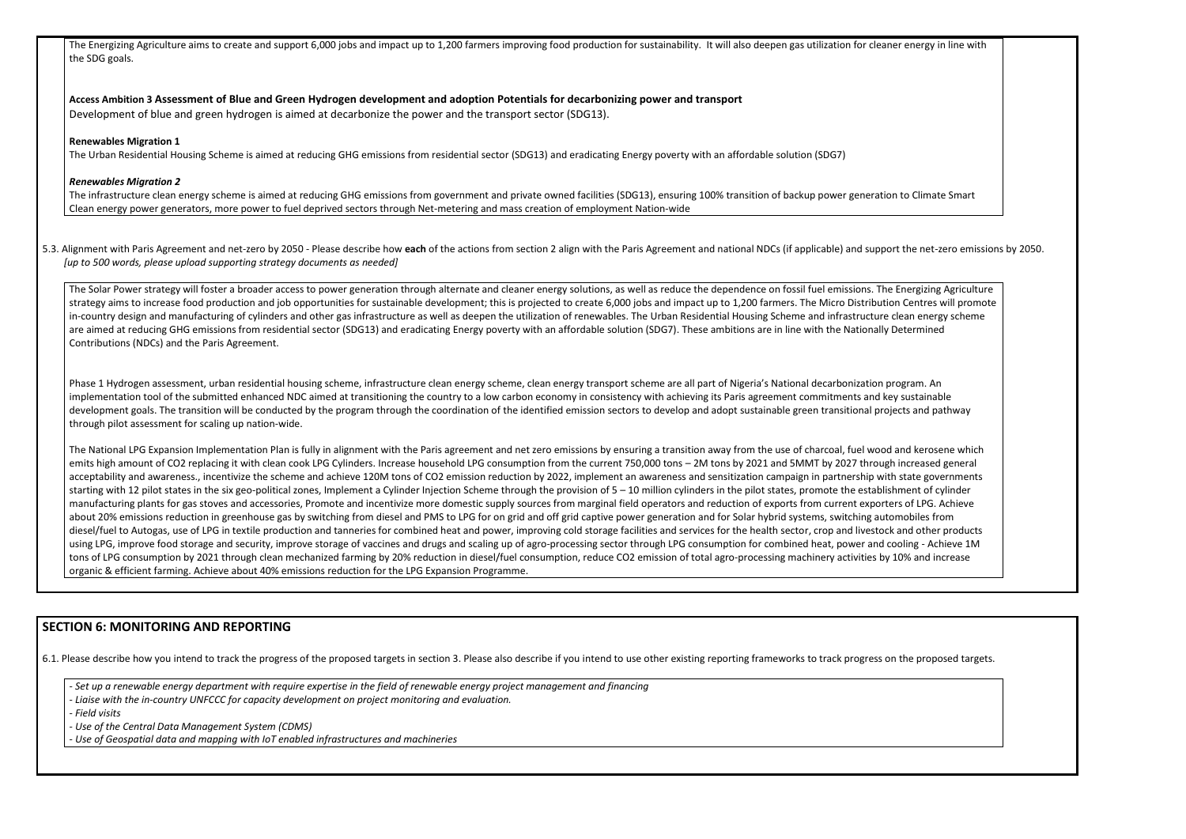The Energizing Agriculture aims to create and support 6,000 jobs and impact up to 1,200 farmers improving food production for sustainability. It will also deepen gas utilization for cleane the SDG goals.

**Access Ambition 3 Assessment of Blue and Green Hydrogen development and adoption Potentials for decarbonizing power and transport** Development of blue and green hydrogen is aimed at decarbonize the power and the transport sector (SDG13).

### **Renewables Migration 1**

The infrastructure clean energy scheme is aimed at reducing GHG emissions from government and private owned facilities (SDG13), ensuring 100% transition of backup power generation of backup power generation Clean energy power generators, more power to fuel deprived sectors through Net-metering and mass creation of employment Nation-wide

The Urban Residential Housing Scheme is aimed at reducing GHG emissions from residential sector (SDG13) and eradicating Energy poverty with an affordable solution (SDG7)

5.3. Alignment with Paris Agreement and net-zero by 2050 - Please describe how each of the actions from section 2 align with the Paris Agreement and national NDCs (if applicable) and supportional SUCS (if applicable) and s *[up to 500 words, please upload supporting strategy documents as needed]* 

### *Renewables Migration 2*

The Solar Power strategy will foster a broader access to power generation through alternate and cleaner energy solutions, as well as reduce the dependence on fossil fuel emissions. The strategy aims to increase food production and job opportunities for sustainable development; this is projected to create 6,000 jobs and impact up to 1,200 farmers. The Micro Distributio in-country design and manufacturing of cylinders and other gas infrastructure as well as deepen the utilization of renewables. The Urban Residential Housing Scheme and infrastructure c are aimed at reducing GHG emissions from residential sector (SDG13) and eradicating Energy poverty with an affordable solution (SDG7). These ambitions are in line with the Nationally Determined at reducing GHG emissions fr Contributions (NDCs) and the Paris Agreement.

Phase 1 Hydrogen assessment, urban residential housing scheme, infrastructure clean energy scheme, clean energy transport scheme are all part of Nigeria's National decarbonization program. implementation tool of the submitted enhanced NDC aimed at transitioning the country to a low carbon economy in consistency with achieving its Paris agreement commitments and key development goals. The transition will be conducted by the program through the coordination of the identified emission sectors to develop and adopt sustainable green transitional projectional projects through pilot assessment for scaling up nation-wide.

The National LPG Expansion Implementation Plan is fully in alignment with the Paris agreement and net zero emissions by ensuring a transition away from the use of charcoal, fuel wood emits high amount of CO2 replacing it with clean cook LPG Cylinders. Increase household LPG consumption from the current 750,000 tons - 2M tons by 2021 and 5MMT by 2027 through acceptability and awareness., incentivize the scheme and achieve 120M tons of CO2 emission reduction by 2022, implement an awareness and sensitization campaign in partnership with starting with 12 pilot states in the six geo-political zones, Implement a Cylinder Injection Scheme through the provision of 5 – 10 million cylinders in the pilot states, promote the establish manufacturing plants for gas stoves and accessories, Promote and incentivize more domestic supply sources from marginal field operators and reduction of exports from current exporter about 20% emissions reduction in greenhouse gas by switching from diesel and PMS to LPG for on grid and off grid captive power generation and for Solar hybrid systems, switching auto diesel/fuel to Autogas, use of LPG in textile production and tanneries for combined heat and power, improving cold storage facilities and services for the health sector, crop and livestock using LPG, improve food storage and security, improve storage of vaccines and drugs and scaling up of agro-processing sector through LPG consumption for combined heat, power and consumption for sumption for through LPG int tons of LPG consumption by 2021 through clean mechanized farming by 20% reduction in diesel/fuel consumption, reduce CO2 emission of total agro-processing machinery activities by organic & efficient farming. Achieve about 40% emissions reduction for the LPG Expansion Programme.

### **SECTION 6: MONITORING AND REPORTING**

6.1. Please describe how you intend to track the progress of the proposed targets in section 3. Please also describe if you intend to use other existing reporting frameworks to track progress on the proposed targets.

*- Set up a renewable energy department with require expertise in the field of renewable energy project management and financing*

- *- Liaise with the in-country UNFCCC for capacity development on project monitoring and evaluation.*
- *- Field visits*
- *- Use of the Central Data Management System (CDMS)*
- *- Use of Geospatial data and mapping with IoT enabled infrastructures and machineries*

| er energy in line with                                                                                                                                                                   |  |
|------------------------------------------------------------------------------------------------------------------------------------------------------------------------------------------|--|
| า to Climate Smart                                                                                                                                                                       |  |
| t the net-zero emissions by 2050.                                                                                                                                                        |  |
| <b>Energizing Agriculture</b><br>n Centres will promote<br>clean energy scheme<br><b>Determined</b>                                                                                      |  |
| ogram. An<br>y sustainable<br>ects and pathway                                                                                                                                           |  |
| and kerosene which<br>increased general<br>state governments<br>nment of cylinder<br>rs of LPG. Achieve<br>mobiles from<br>and other products<br>poling - Achieve 1M<br>10% and increase |  |
|                                                                                                                                                                                          |  |
|                                                                                                                                                                                          |  |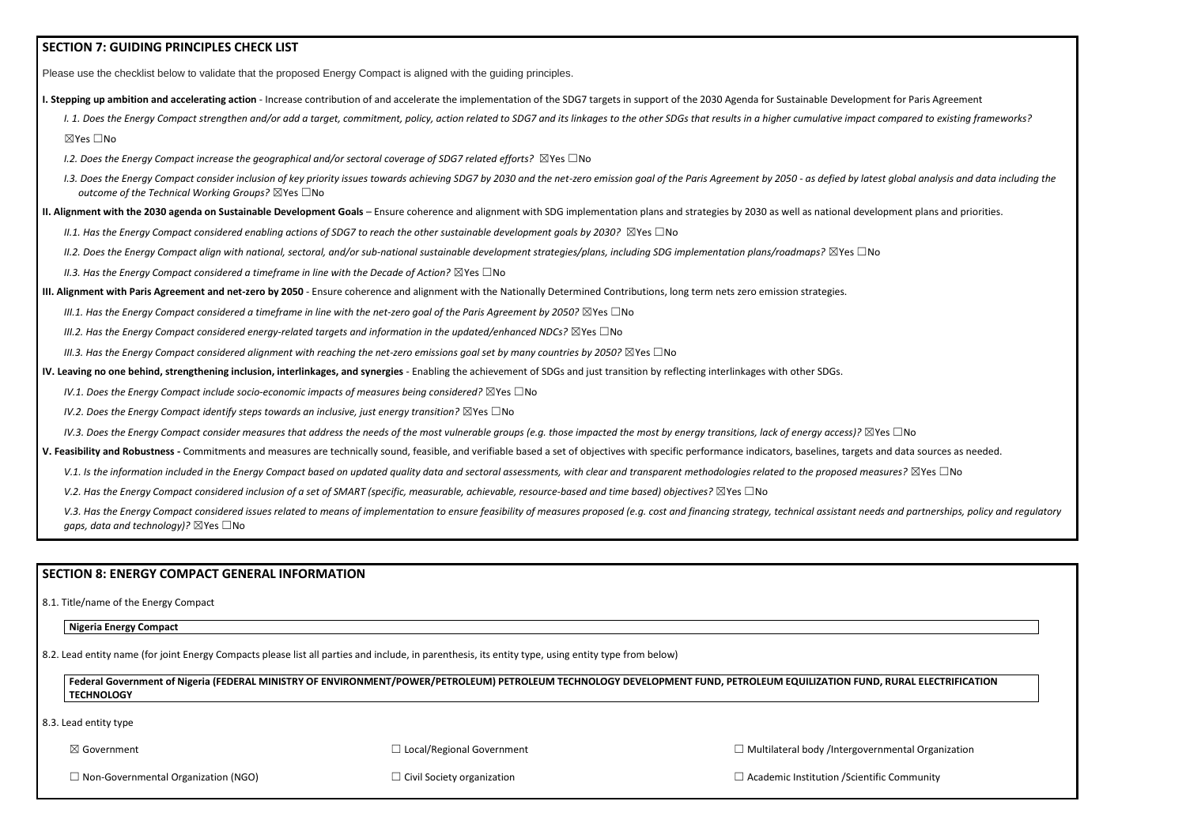Please use the checklist below to validate that the proposed Energy Compact is aligned with the guiding principles.

**I. Stepping up ambition and accelerating action** - Increase contribution of and accelerate the implementation of the SDG7 targets in support of the 2030 Agenda for Sustainable Development for Paris Agreement

I. 1. Does the Energy Compact strengthen and/or add a target, commitment, policy, action related to SDG7 and its linkages to the other SDGs that results in a higher cumulative impact compared to existing frameworks? ☒Yes ☐No

- *I.2. Does the Energy Compact increase the geographical and/or sectoral coverage of SDG7 related efforts?* ⊠Yes □No
- I.3. Does the Energy Compact consider inclusion of key priority issues towards achieving SDG7 by 2030 and the net-zero emission goal of the Paris Agreement by 2050 as defied by latest global analysis and data including t *outcome of the Technical Working Groups?* ☒Yes ☐No

**II. Alignment with the 2030 agenda on Sustainable Development Goals** – Ensure coherence and alignment with SDG implementation plans and strategies by 2030 as well as national development plans and priorities.

*II.1. Has the Energy Compact considered enabling actions of SDG7 to reach the other sustainable development goals by 2030?* ⊠Yes □No

*II.2. Does the Energy Compact align with national, sectoral, and/or sub-national sustainable development strategies/plans, including SDG implementation plans/roadmaps?* ☒Yes ☐No

*II.3. Has the Energy Compact considered a timeframe in line with the Decade of Action?* ⊠Yes □No

**III. Alignment with Paris Agreement and net-zero by 2050** - Ensure coherence and alignment with the Nationally Determined Contributions, long term nets zero emission strategies.

*III.1. Has the Energy Compact considered a timeframe in line with the net-zero goal of the Paris Agreement by 2050?* ⊠Yes □No

*III.2. Has the Energy Compact considered energy-related targets and information in the updated/enhanced NDCs?* ⊠Yes □No

*III.3. Has the Energy Compact considered alignment with reaching the net-zero emissions goal set by many countries by 2050?* ⊠Yes □No

 $\Box$  Multilateral body /Intergovernmental Organization ☐ Academic Institution /Scientific Community

**IV. Leaving no one behind, strengthening inclusion, interlinkages, and synergies** - Enabling the achievement of SDGs and just transition by reflecting interlinkages with other SDGs.

*IV.1. Does the Energy Compact include socio-economic impacts of measures being considered?* ⊠Yes □No

*IV.2. Does the Energy Compact identify steps towards an inclusive, just energy transition?* ⊠Yes □No

*IV.3. Does the Energy Compact consider measures that address the needs of the most vulnerable groups (e.g. those impacted the most by energy transitions, lack of energy access)?* ⊠Yes □No

**V. Feasibility and Robustness -** Commitments and measures are technically sound, feasible, and verifiable based a set of objectives with specific performance indicators, baselines, targets and data sources as needed.

V.1. Is the information included in the Energy Compact based on updated quality data and sectoral assessments, with clear and transparent methodologies related to the proposed measures? ⊠Yes □No

*V.2. Has the Energy Compact considered inclusion of a set of SMART (specific, measurable, achievable, resource-based and time based) objectives?* ⊠Yes □No

V.3. Has the Energy Compact considered issues related to means of implementation to ensure feasibility of measures proposed (e.g. cost and financing strategy, technical assistant needs and partnerships, policy and regulato *gaps, data and technology)?* ⊠Yes □No

### **SECTION 8: ENERGY COMPACT GENERAL INFORMATION**

8.1. Title/name of the Energy Compact

### **Nigeria Energy Compact**

8.2. Lead entity name (for joint Energy Compacts please list all parties and include, in parenthesis, its entity type, using entity type from below)

**Federal Government of Nigeria (FEDERAL MINISTRY OF ENVIRONMENT/POWER/PETROLEUM) PETROLEUM TECHNOLOGY DEVELOPMENT FUND, PETROLEUM EQUILIZATION FUND, RURAL ELECTRIFICATION TECHNOLOGY**

8.3. Lead entity type

☒ Government

☐ Local/Regional Government

 $\Box$  Non-Governmental Organization (NGO)

 $\Box$  Civil Society organization